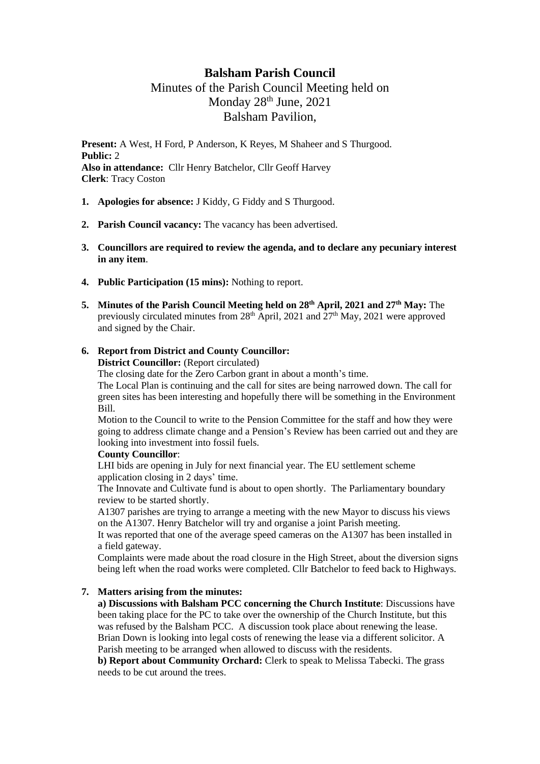# **Balsham Parish Council**

# Minutes of the Parish Council Meeting held on Monday 28<sup>th</sup> June, 2021 Balsham Pavilion,

**Present:** A West, H Ford, P Anderson, K Reyes, M Shaheer and S Thurgood. **Public:** 2 **Also in attendance:** Cllr Henry Batchelor, Cllr Geoff Harvey **Clerk**: Tracy Coston

- **1. Apologies for absence:** J Kiddy, G Fiddy and S Thurgood.
- **2. Parish Council vacancy:** The vacancy has been advertised.
- **3. Councillors are required to review the agenda, and to declare any pecuniary interest in any item**.
- **4. Public Participation (15 mins):** Nothing to report.
- **5. Minutes of the Parish Council Meeting held on 28th April, 2021 and 27th May:** The previously circulated minutes from  $28<sup>th</sup>$  April, 2021 and  $27<sup>th</sup>$  May, 2021 were approved and signed by the Chair.

# **6. Report from District and County Councillor:**

**District Councillor:** (Report circulated)

The closing date for the Zero Carbon grant in about a month's time.

The Local Plan is continuing and the call for sites are being narrowed down. The call for green sites has been interesting and hopefully there will be something in the Environment Bill.

Motion to the Council to write to the Pension Committee for the staff and how they were going to address climate change and a Pension's Review has been carried out and they are looking into investment into fossil fuels.

#### **County Councillor**:

LHI bids are opening in July for next financial year. The EU settlement scheme application closing in 2 days' time.

The Innovate and Cultivate fund is about to open shortly. The Parliamentary boundary review to be started shortly.

A1307 parishes are trying to arrange a meeting with the new Mayor to discuss his views on the A1307. Henry Batchelor will try and organise a joint Parish meeting.

It was reported that one of the average speed cameras on the A1307 has been installed in a field gateway.

Complaints were made about the road closure in the High Street, about the diversion signs being left when the road works were completed. Cllr Batchelor to feed back to Highways.

# **7. Matters arising from the minutes:**

**a) Discussions with Balsham PCC concerning the Church Institute**: Discussions have been taking place for the PC to take over the ownership of the Church Institute, but this was refused by the Balsham PCC. A discussion took place about renewing the lease. Brian Down is looking into legal costs of renewing the lease via a different solicitor. A Parish meeting to be arranged when allowed to discuss with the residents.

**b) Report about Community Orchard:** Clerk to speak to Melissa Tabecki. The grass needs to be cut around the trees.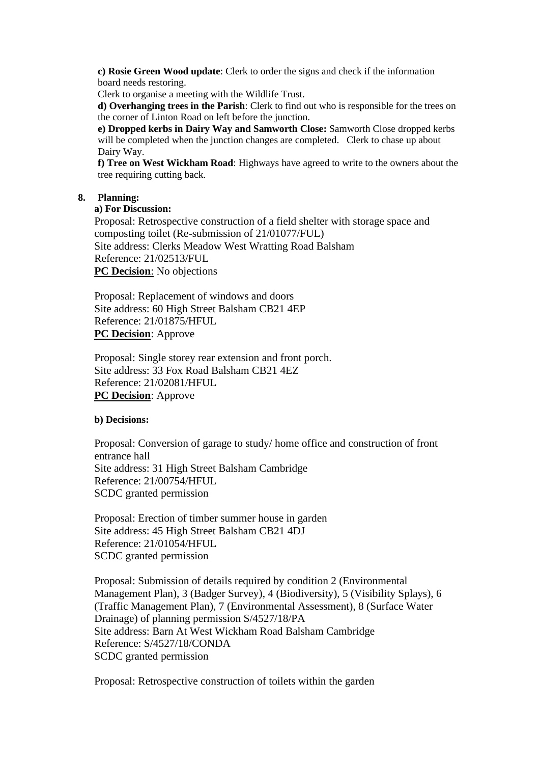**c) Rosie Green Wood update**: Clerk to order the signs and check if the information board needs restoring.

Clerk to organise a meeting with the Wildlife Trust.

**d) Overhanging trees in the Parish**: Clerk to find out who is responsible for the trees on the corner of Linton Road on left before the junction.

**e) Dropped kerbs in Dairy Way and Samworth Close:** Samworth Close dropped kerbs will be completed when the junction changes are completed. Clerk to chase up about Dairy Way.

**f) Tree on West Wickham Road**: Highways have agreed to write to the owners about the tree requiring cutting back.

## **8. Planning:**

#### **a) For Discussion:**

Proposal: Retrospective construction of a field shelter with storage space and composting toilet (Re-submission of 21/01077/FUL) Site address: Clerks Meadow West Wratting Road Balsham Reference: 21/02513/FUL **PC Decision:** No objections

Proposal: Replacement of windows and doors Site address: 60 High Street Balsham CB21 4EP Reference: 21/01875/HFUL **PC Decision**: Approve

Proposal: Single storey rear extension and front porch. Site address: 33 Fox Road Balsham CB21 4EZ Reference: 21/02081/HFUL **PC Decision**: Approve

#### **b) Decisions:**

Proposal: Conversion of garage to study/ home office and construction of front entrance hall Site address: 31 High Street Balsham Cambridge Reference: 21/00754/HFUL SCDC granted permission

Proposal: Erection of timber summer house in garden Site address: 45 High Street Balsham CB21 4DJ Reference: 21/01054/HFUL SCDC granted permission

Proposal: Submission of details required by condition 2 (Environmental Management Plan), 3 (Badger Survey), 4 (Biodiversity), 5 (Visibility Splays), 6 (Traffic Management Plan), 7 (Environmental Assessment), 8 (Surface Water Drainage) of planning permission S/4527/18/PA Site address: Barn At West Wickham Road Balsham Cambridge Reference: S/4527/18/CONDA SCDC granted permission

Proposal: Retrospective construction of toilets within the garden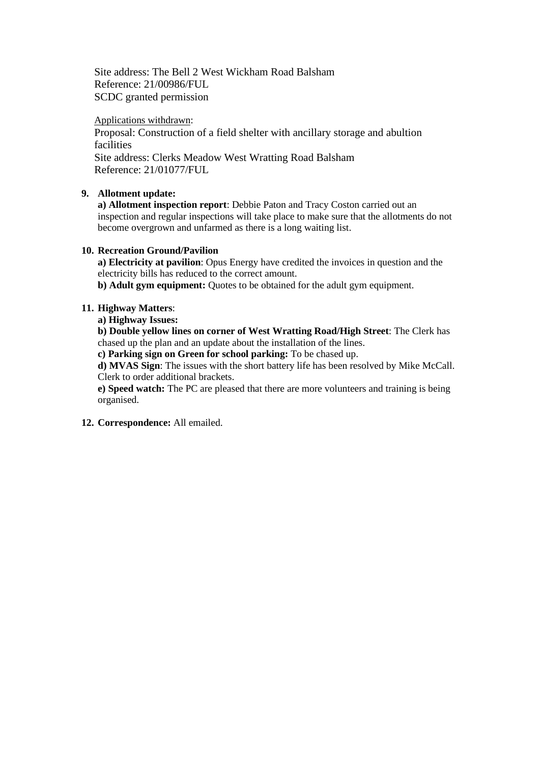Site address: The Bell 2 West Wickham Road Balsham Reference: 21/00986/FUL SCDC granted permission

#### Applications withdrawn:

Proposal: Construction of a field shelter with ancillary storage and abultion facilities Site address: Clerks Meadow West Wratting Road Balsham Reference: 21/01077/FUL

## **9. Allotment update:**

**a) Allotment inspection report**: Debbie Paton and Tracy Coston carried out an inspection and regular inspections will take place to make sure that the allotments do not become overgrown and unfarmed as there is a long waiting list.

#### **10. Recreation Ground/Pavilion**

**a) Electricity at pavilion**: Opus Energy have credited the invoices in question and the electricity bills has reduced to the correct amount.

**b) Adult gym equipment:** Quotes to be obtained for the adult gym equipment.

## **11. Highway Matters**:

## **a) Highway Issues:**

**b) Double yellow lines on corner of West Wratting Road/High Street**: The Clerk has chased up the plan and an update about the installation of the lines.

**c) Parking sign on Green for school parking:** To be chased up.

**d) MVAS Sign**: The issues with the short battery life has been resolved by Mike McCall. Clerk to order additional brackets.

**e) Speed watch:** The PC are pleased that there are more volunteers and training is being organised.

**12. Correspondence:** All emailed.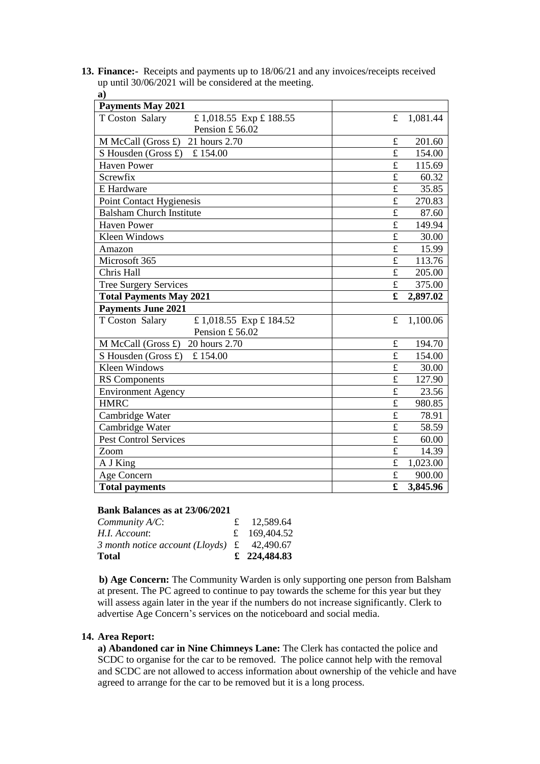**13. Finance:-** Receipts and payments up to 18/06/21 and any invoices/receipts received up until 30/06/2021 will be considered at the meeting. **a)**

| <b>Payments May 2021</b>                     |                         |          |
|----------------------------------------------|-------------------------|----------|
| T Coston Salary<br>£1,018.55 Exp £188.55     | £                       | 1,081.44 |
| Pension £56.02                               |                         |          |
| 21 hours 2.70<br>M McCall (Gross $\pounds$ ) | $\pounds$               | 201.60   |
| S Housden (Gross £)<br>£154.00               | $\mathbf f$             | 154.00   |
| <b>Haven Power</b>                           | £                       | 115.69   |
| Screwfix                                     | £                       | 60.32    |
| E Hardware                                   | $\mathbf f$             | 35.85    |
| Point Contact Hygienesis                     | £                       | 270.83   |
| <b>Balsham Church Institute</b>              | £                       | 87.60    |
| <b>Haven Power</b>                           | $\mathbf f$             | 149.94   |
| <b>Kleen Windows</b>                         | £                       | 30.00    |
| Amazon                                       | $\overline{\mathrm{t}}$ | 15.99    |
| Microsoft 365                                | £                       | 113.76   |
| Chris Hall                                   | $\mathbf f$             | 205.00   |
| <b>Tree Surgery Services</b>                 | $\mathbf f$             | 375.00   |
| <b>Total Payments May 2021</b>               | $\mathbf f$             | 2,897.02 |
|                                              |                         |          |
| <b>Payments June 2021</b>                    |                         |          |
| T Coston Salary<br>£ 1,018.55 Exp £ 184.52   | £                       | 1,100.06 |
| Pension £56.02                               |                         |          |
| 20 hours 2.70<br>M McCall (Gross £)          | £                       | 194.70   |
| S Housden (Gross £)<br>£154.00               | £                       | 154.00   |
| <b>Kleen Windows</b>                         | £                       | 30.00    |
| <b>RS</b> Components                         | £                       | 127.90   |
| <b>Environment Agency</b>                    | £                       | 23.56    |
| <b>HMRC</b>                                  | $\mathbf f$             | 980.85   |
| Cambridge Water                              | $\mathbf f$             | 78.91    |
| Cambridge Water                              | $\mathbf f$             | 58.59    |
| <b>Pest Control Services</b>                 | £                       | 60.00    |
| Zoom                                         | £                       | 14.39    |
| A J King                                     | $\mathbf f$             | 1,023.00 |
| Age Concern                                  | $\pounds$<br>£          | 900.00   |

#### **Bank Balances as at 23/06/2021**

| Total                                                      | £ 224,484.83 |
|------------------------------------------------------------|--------------|
| 3 month notice account (Lloyds) $\text{\pounds}$ 42,490.67 |              |
| H.I. Account:                                              | £ 169,404.52 |
| Community A/C:                                             | £ 12,589.64  |
|                                                            |              |

 **b) Age Concern:** The Community Warden is only supporting one person from Balsham at present. The PC agreed to continue to pay towards the scheme for this year but they will assess again later in the year if the numbers do not increase significantly. Clerk to advertise Age Concern's services on the noticeboard and social media.

#### **14. Area Report:**

**a) Abandoned car in Nine Chimneys Lane:** The Clerk has contacted the police and SCDC to organise for the car to be removed. The police cannot help with the removal and SCDC are not allowed to access information about ownership of the vehicle and have agreed to arrange for the car to be removed but it is a long process.